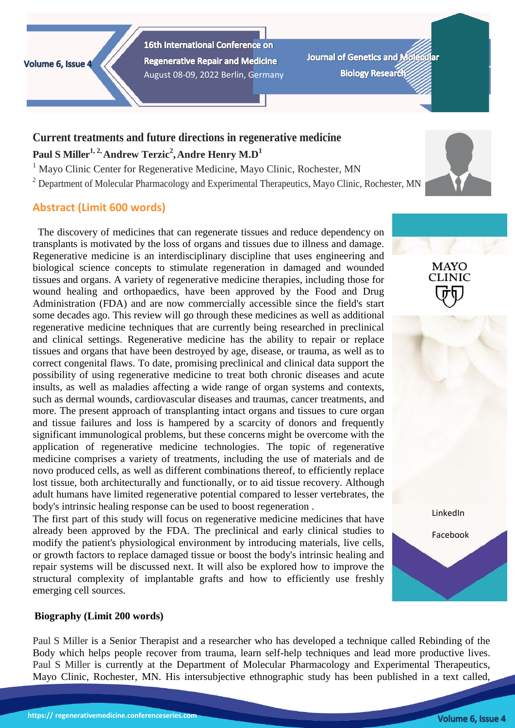Volume 6, Issue 4

16th International Conference on **Regenerative Repair and Medicine** August 08-09, 2022 Berlin, Germany

**Journal of Genetics and Mo Biology Research:** 

# **Current treatments and future directions in regenerative medicine Paul S Miller1, 2,Andrew Terzic<sup>2</sup> ,Andre Henry M.D<sup>1</sup>**

<sup>1</sup> Mayo Clinic Center for Regenerative Medicine, Mayo Clinic, Rochester, MN

<sup>2</sup> Department of Molecular Pharmacology and Experimental Therapeutics, Mayo Clinic, Rochester, MN

# **Abstract (Limit 600 words)**

The discovery of medicines that can regenerate tissues and reduce dependency on transplants is motivated by the loss of organs and tissues due to illness and damage. Regenerative medicine is an interdisciplinary discipline that uses engineering and biological science concepts to stimulate regeneration in damaged and wounded tissues and organs. A variety of regenerative medicine therapies, including those for wound healing and orthopaedics, have been approved by the Food and Drug Administration (FDA) and are now commercially accessible since the field's start some decades ago. This review will go through these medicines as well as additional regenerative medicine techniques that are currently being researched in preclinical and clinical settings. Regenerative medicine has the ability to repair or replace tissues and organs that have been destroyed by age, disease, or trauma, as well as to correct congenital flaws. To date, promising preclinical and clinical data support the possibility of using regenerative medicine to treat both chronic diseases and acute insults, as well as maladies affecting a wide range of organ systems and contexts, such as dermal wounds, cardiovascular diseases and traumas, cancer treatments, and more. The present approach of transplanting intact organs and tissues to cure organ and tissue failures and loss is hampered by a scarcity of donors and frequently significant immunological problems, but these concerns might be overcome with the application of regenerative medicine technologies. The topic of regenerative medicine comprises a variety of treatments, including the use of materials and de novo produced cells, as well as different combinations thereof, to efficiently replace lost tissue, both architecturally and functionally, or to aid tissue recovery. Although adult humans have limited regenerative potential compared to lesser vertebrates, the body's intrinsic healing response can be used to boost regeneration .

The first part of this study will focus on regenerative medicine medicines that have already been approved by the FDA. The preclinical and early clinical studies to modify the patient's physiological environment by introducing materials, live cells, or growth factors to replace damaged tissue or boost the body's intrinsic healing and repair systems will be discussed next. It will also be explored how to improve the structural complexity of implantable grafts and how to efficiently use freshly emerging cell sources.

## **Biography (Limit 200 words)**

Paul S Miller is a Senior Therapist and a researcher who has developed a technique called Rebinding of the Body which helps people recover from trauma, learn self-help techniques and lead more productive lives. Paul S Miller is currently at the Department of Molecular Pharmacology and Experimental Therapeutics, Mayo Clinic, Rochester, MN. His intersubjective ethnographic study has been published in a text called,



MAYO **CLINIC**